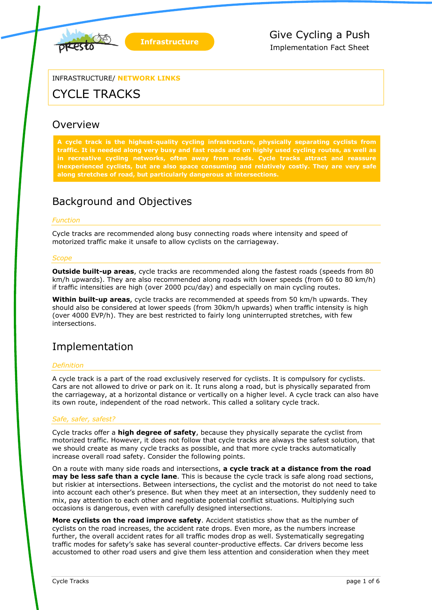

INFRASTRUCTURE/ **NETWORK LINKS**

# CYCLE TRACKS

# **Overview**

**A cycle track is the highest-quality cycling infrastructure, physically separating cyclists from traffic. It is needed along very busy and fast roads and on highly used cycling routes, as well as in recreative cycling networks, often away from roads. Cycle tracks attract and reassure inexperienced cyclists, but are also space consuming and relatively costly. They are very safe along stretches of road, but particularly dangerous at intersections.** 

# Background and Objectives

# *Function*

Cycle tracks are recommended along busy connecting roads where intensity and speed of motorized traffic make it unsafe to allow cyclists on the carriageway.

### *Scope*

**Outside built-up areas**, cycle tracks are recommended along the fastest roads (speeds from 80 km/h upwards). They are also recommended along roads with lower speeds (from 60 to 80 km/h) if traffic intensities are high (over 2000 pcu/day) and especially on main cycling routes.

**Within built-up areas**, cycle tracks are recommended at speeds from 50 km/h upwards. They should also be considered at lower speeds (from 30km/h upwards) when traffic intensity is high (over 4000 EVP/h). They are best restricted to fairly long uninterrupted stretches, with few intersections.

# Implementation

# *Definition*

A cycle track is a part of the road exclusively reserved for cyclists. It is compulsory for cyclists. Cars are not allowed to drive or park on it. It runs along a road, but is physically separated from the carriageway, at a horizontal distance or vertically on a higher level. A cycle track can also have its own route, independent of the road network. This called a solitary cycle track.

### *Safe, safer, safest?*

Cycle tracks offer a **high degree of safety**, because they physically separate the cyclist from motorized traffic. However, it does not follow that cycle tracks are always the safest solution, that we should create as many cycle tracks as possible, and that more cycle tracks automatically increase overall road safety. Consider the following points.

On a route with many side roads and intersections, **a cycle track at a distance from the road may be less safe than a cycle lane**. This is because the cycle track is safe along road sections, but riskier at intersections. Between intersections, the cyclist and the motorist do not need to take into account each other's presence. But when they meet at an intersection, they suddenly need to mix, pay attention to each other and negotiate potential conflict situations. Multiplying such occasions is dangerous, even with carefully designed intersections.

**More cyclists on the road improve safety**. Accident statistics show that as the number of cyclists on the road increases, the accident rate drops. Even more, as the numbers increase further, the overall accident rates for all traffic modes drop as well. Systematically segregating traffic modes for safety's sake has several counter-productive effects. Car drivers become less accustomed to other road users and give them less attention and consideration when they meet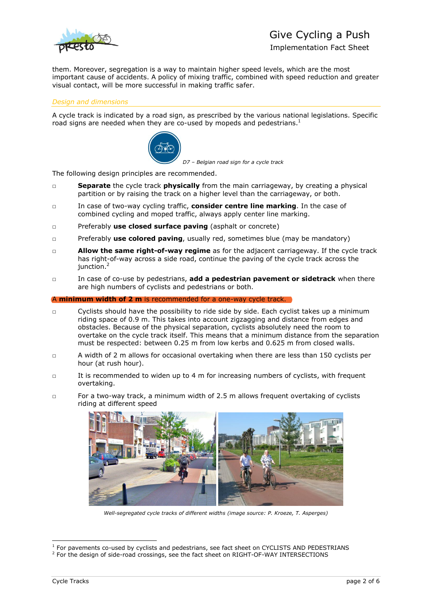

# Give Cycling a Push

Implementation Fact Sheet

them. Moreover, segregation is a way to maintain higher speed levels, which are the most important cause of accidents. A policy of mixing traffic, combined with speed reduction and greater visual contact, will be more successful in making traffic safer.

### *Design and dimensions*

A cycle track is indicated by a road sign, as prescribed by the various national legislations. Specific road signs are needed when they are co-used by mopeds and pedestrians.<sup>1</sup>



*D7 – Belgian road sign for a cycle track*

The following design principles are recommended.

- □ **Separate** the cycle track **physically** from the main carriageway, by creating a physical partition or by raising the track on a higher level than the carriageway, or both.
- □ In case of two-way cycling traffic, **consider centre line marking**. In the case of combined cycling and moped traffic, always apply center line marking.
- □ Preferably **use closed surface paving** (asphalt or concrete)
- □ Preferably **use colored paving**, usually red, sometimes blue (may be mandatory)
- □ **Allow the same right-of-way regime** as for the adjacent carriageway. If the cycle track has right-of-way across a side road, continue the paving of the cycle track across the  $i$ unction. $<sup>2</sup>$ </sup>
- □ In case of co-use by pedestrians, **add a pedestrian pavement or sidetrack** when there are high numbers of cyclists and pedestrians or both.

#### A **minimum width of 2 m** is recommended for a one-way cycle track.

- □ Cyclists should have the possibility to ride side by side. Each cyclist takes up a minimum riding space of 0.9 m. This takes into account zigzagging and distance from edges and obstacles. Because of the physical separation, cyclists absolutely need the room to overtake on the cycle track itself. This means that a minimum distance from the separation must be respected: between 0.25 m from low kerbs and 0.625 m from closed walls.
- □ A width of 2 m allows for occasional overtaking when there are less than 150 cyclists per hour (at rush hour).
- $\Box$  It is recommended to widen up to 4 m for increasing numbers of cyclists, with frequent overtaking.
- □ For a two-way track, a minimum width of 2.5 m allows frequent overtaking of cyclists riding at different speed



*Well-segregated cycle tracks of different widths (image source: P. Kroeze, T. Asperges)*

<sup>&</sup>lt;sup>1</sup> For pavements co-used by cyclists and pedestrians, see fact sheet on CYCLISTS AND PEDESTRIANS

<sup>&</sup>lt;sup>2</sup> For the design of side-road crossings, see the fact sheet on RIGHT-OF-WAY INTERSECTIONS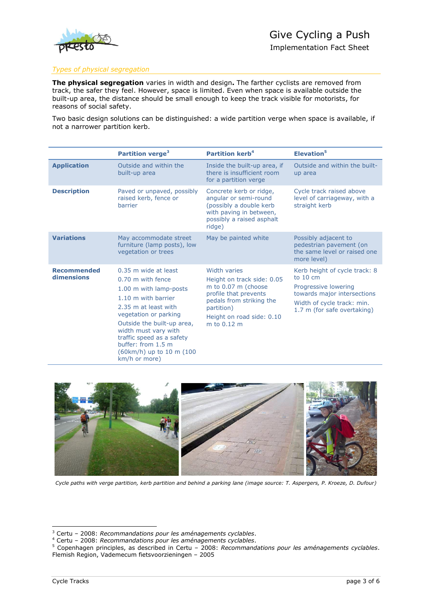

# *Types of physical segregation*

**The physical segregation** varies in width and design**.** The farther cyclists are removed from track, the safer they feel. However, space is limited. Even when space is available outside the built-up area, the distance should be small enough to keep the track visible for motorists, for reasons of social safety.

Two basic design solutions can be distinguished: a wide partition verge when space is available, if not a narrower partition kerb.

|                                  | Partition verge <sup>3</sup>                                                                                                                                                                                                                                                     | <b>Partition kerb<sup>4</sup></b>                                                                                                                                                       | Elevation <sup>5</sup>                                                                                                                                                  |
|----------------------------------|----------------------------------------------------------------------------------------------------------------------------------------------------------------------------------------------------------------------------------------------------------------------------------|-----------------------------------------------------------------------------------------------------------------------------------------------------------------------------------------|-------------------------------------------------------------------------------------------------------------------------------------------------------------------------|
| <b>Application</b>               | Outside and within the<br>built-up area                                                                                                                                                                                                                                          | Inside the built-up area, if<br>there is insufficient room<br>for a partition verge                                                                                                     | Outside and within the built-<br>up area                                                                                                                                |
| <b>Description</b>               | Paved or unpaved, possibly<br>raised kerb, fence or<br>barrier                                                                                                                                                                                                                   | Concrete kerb or ridge,<br>angular or semi-round<br>(possibly a double kerb<br>with paving in between,<br>possibly a raised asphalt<br>ridge)                                           | Cycle track raised above<br>level of carriageway, with a<br>straight kerb                                                                                               |
| <b>Variations</b>                | May accommodate street<br>furniture (lamp posts), low<br>vegetation or trees                                                                                                                                                                                                     | May be painted white                                                                                                                                                                    | Possibly adjacent to<br>pedestrian pavement (on<br>the same level or raised one<br>more level)                                                                          |
| <b>Recommended</b><br>dimensions | 0.35 m wide at least<br>0.70 m with fence<br>1.00 m with lamp-posts<br>1.10 m with barrier<br>2.35 m at least with<br>vegetation or parking<br>Outside the built-up area,<br>width must vary with<br>traffic speed as a safety<br>buffer: from 1.5 m<br>(60km/h) up to 10 m (100 | <b>Width varies</b><br>Height on track side: 0.05<br>m to 0.07 m (choose<br>profile that prevents<br>pedals from striking the<br>partition)<br>Height on road side: 0.10<br>m to 0.12 m | Kerb height of cycle track: 8<br>to $10 \text{ cm}$<br>Progressive lowering<br>towards major intersections<br>Width of cycle track: min.<br>1.7 m (for safe overtaking) |



*Cycle paths with verge partition, kerb partition and behind a parking lane (image source: T. Aspergers, P. Kroeze, D. Dufour)*

km/h or more)

<sup>3</sup> Certu – 2008: *Recommandations pour les aménagements cyclables*.

<sup>4</sup> Certu – 2008: *Recommandations pour les aménagements cyclables*.

<sup>5</sup> Copenhagen principles, as described in Certu – 2008: *Recommandations pour les aménagements cyclables*. Flemish Region, Vademecum fietsvoorzieningen – 2005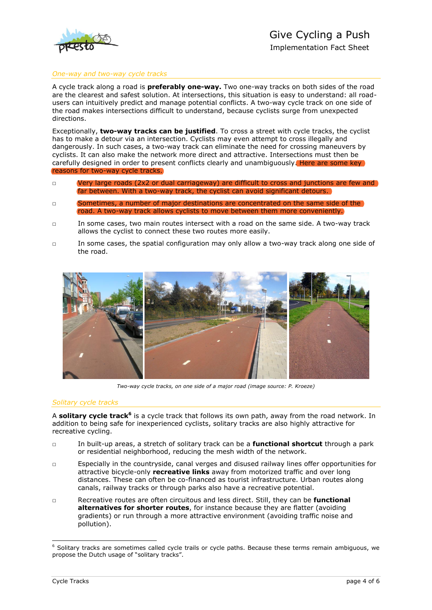

#### *One-way and two-way cycle tracks*

A cycle track along a road is **preferably one-way.** Two one-way tracks on both sides of the road are the clearest and safest solution. At intersections, this situation is easy to understand: all roadusers can intuitively predict and manage potential conflicts. A two-way cycle track on one side of the road makes intersections difficult to understand, because cyclists surge from unexpected directions.

Exceptionally, **two-way tracks can be justified**. To cross a street with cycle tracks, the cyclist has to make a detour via an intersection. Cyclists may even attempt to cross illegally and dangerously. In such cases, a two-way track can eliminate the need for crossing maneuvers by cyclists. It can also make the network more direct and attractive. Intersections must then be carefully designed in order to present conflicts clearly and unambiguously. Here are some key reasons for two-way cycle tracks.

- □ Very large roads (2x2 or dual carriageway) are difficult to cross and junctions are few and far between. With a two-way track, the cyclist can avoid significant detours.
- □ Sometimes, a number of major destinations are concentrated on the same side of the road. A two-way track allows cyclists to move between them more conveniently.
- □ In some cases, two main routes intersect with a road on the same side. A two-way track allows the cyclist to connect these two routes more easily.
- □ In some cases, the spatial configuration may only allow a two-way track along one side of the road.



*Two-way cycle tracks, on one side of a major road (image source: P. Kroeze)*

#### *Solitary cycle tracks*

A solitary cycle track<sup>6</sup> is a cycle track that follows its own path, away from the road network. In addition to being safe for inexperienced cyclists, solitary tracks are also highly attractive for recreative cycling.

- □ In built-up areas, a stretch of solitary track can be a **functional shortcut** through a park or residential neighborhood, reducing the mesh width of the network.
- □ Especially in the countryside, canal verges and disused railway lines offer opportunities for attractive bicycle-only **recreative links** away from motorized traffic and over long distances. These can often be co-financed as tourist infrastructure. Urban routes along canals, railway tracks or through parks also have a recreative potential.
- □ Recreative routes are often circuitous and less direct. Still, they can be **functional alternatives for shorter routes**, for instance because they are flatter (avoiding gradients) or run through a more attractive environment (avoiding traffic noise and pollution).

<sup>&</sup>lt;sup>6</sup> Solitary tracks are sometimes called cycle trails or cycle paths. Because these terms remain ambiguous, we propose the Dutch usage of "solitary tracks".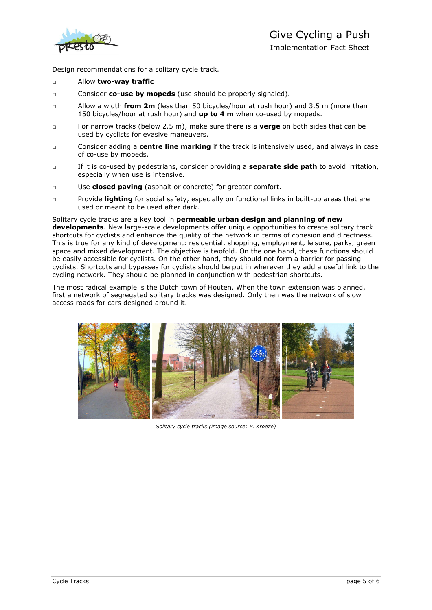

Design recommendations for a solitary cycle track.

#### □ Allow **two-way traffic**

- □ Consider **co-use by mopeds** (use should be properly signaled).
- □ Allow a width **from 2m** (less than 50 bicycles/hour at rush hour) and 3.5 m (more than 150 bicycles/hour at rush hour) and **up to 4 m** when co-used by mopeds.
- □ For narrow tracks (below 2.5 m), make sure there is a **verge** on both sides that can be used by cyclists for evasive maneuvers.
- □ Consider adding a **centre line marking** if the track is intensively used, and always in case of co-use by mopeds.
- □ If it is co-used by pedestrians, consider providing a **separate side path** to avoid irritation, especially when use is intensive.
- □ Use **closed paving** (asphalt or concrete) for greater comfort.
- □ Provide **lighting** for social safety, especially on functional links in built-up areas that are used or meant to be used after dark.

Solitary cycle tracks are a key tool in **permeable urban design and planning of new developments**. New large-scale developments offer unique opportunities to create solitary track shortcuts for cyclists and enhance the quality of the network in terms of cohesion and directness. This is true for any kind of development: residential, shopping, employment, leisure, parks, green space and mixed development. The objective is twofold. On the one hand, these functions should be easily accessible for cyclists. On the other hand, they should not form a barrier for passing cyclists. Shortcuts and bypasses for cyclists should be put in wherever they add a useful link to the cycling network. They should be planned in conjunction with pedestrian shortcuts.

The most radical example is the Dutch town of Houten. When the town extension was planned, first a network of segregated solitary tracks was designed. Only then was the network of slow access roads for cars designed around it.



*Solitary cycle tracks (image source: P. Kroeze)*